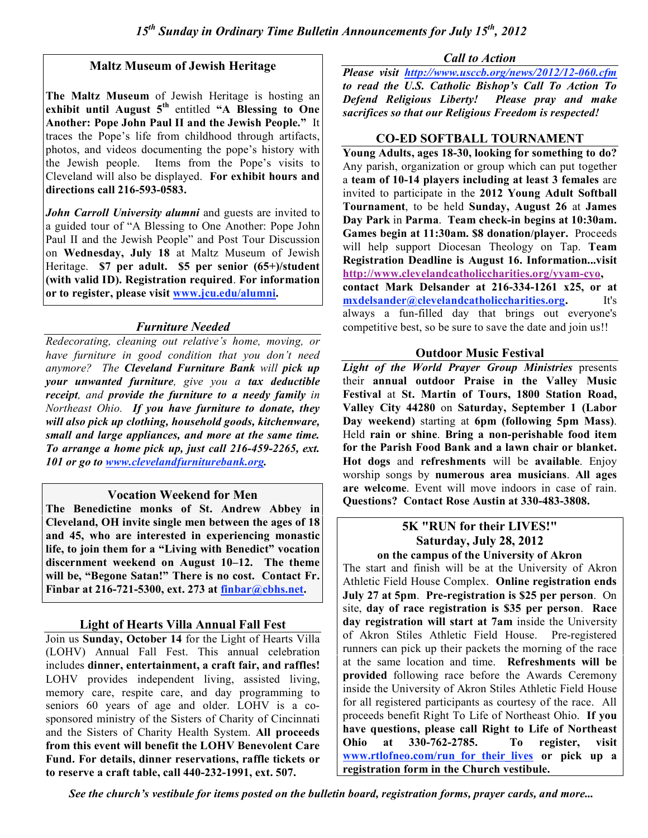## **Maltz Museum of Jewish Heritage**

**The Maltz Museum** of Jewish Heritage is hosting an **exhibit until August 5th** entitled **"A Blessing to One Another: Pope John Paul II and the Jewish People."** It traces the Pope's life from childhood through artifacts, photos, and videos documenting the pope's history with the Jewish people. Items from the Pope's visits to Cleveland will also be displayed. **For exhibit hours and directions call 216-593-0583.**

*John Carroll University alumni* and guests are invited to a guided tour of "A Blessing to One Another: Pope John Paul II and the Jewish People" and Post Tour Discussion on **Wednesday, July 18** at Maltz Museum of Jewish Heritage. **\$7 per adult. \$5 per senior (65+)/student (with valid ID). Registration required**. **For information or to register, please visit www.jcu.edu/alumni.**

## *Furniture Needed*

*Redecorating, cleaning out relative's home, moving, or have furniture in good condition that you don't need anymore? The Cleveland Furniture Bank will pick up your unwanted furniture, give you a tax deductible receipt, and provide the furniture to a needy family in Northeast Ohio. If you have furniture to donate, they will also pick up clothing, household goods, kitchenware, small and large appliances, and more at the same time. To arrange a home pick up, just call 216-459-2265, ext. 101 or go to www.clevelandfurniturebank.org.*

### **Vocation Weekend for Men**

**The Benedictine monks of St. Andrew Abbey in Cleveland, OH invite single men between the ages of 18 and 45, who are interested in experiencing monastic life, to join them for a "Living with Benedict" vocation discernment weekend on August 10–12. The theme will be, "Begone Satan!" There is no cost. Contact Fr. Finbar at 216-721-5300, ext. 273 at finbar@cbhs.net.**

# **Light of Hearts Villa Annual Fall Fest**

Join us **Sunday, October 14** for the Light of Hearts Villa (LOHV) Annual Fall Fest. This annual celebration includes **dinner, entertainment, a craft fair, and raffles!** LOHV provides independent living, assisted living, memory care, respite care, and day programming to seniors 60 years of age and older. LOHV is a cosponsored ministry of the Sisters of Charity of Cincinnati and the Sisters of Charity Health System. **All proceeds from this event will benefit the LOHV Benevolent Care Fund. For details, dinner reservations, raffle tickets or to reserve a craft table, call 440-232-1991, ext. 507.**

*Call to Action*

*Please visit http://www.usccb.org/news/2012/12-060.cfm to read the U.S. Catholic Bishop's Call To Action To Defend Religious Liberty! Please pray and make sacrifices so that our Religious Freedom is respected!*

#### **CO-ED SOFTBALL TOURNAMENT**

**Young Adults, ages 18-30, looking for something to do?** Any parish, organization or group which can put together a **team of 10-14 players including at least 3 females** are invited to participate in the **2012 Young Adult Softball Tournament**, to be held **Sunday, August 26** at **James Day Park** in **Parma**. **Team check-in begins at 10:30am. Games begin at 11:30am. \$8 donation/player.** Proceeds will help support Diocesan Theology on Tap. **Team Registration Deadline is August 16. Information...visit http://www.clevelandcatholiccharities.org/yyam-cyo, contact Mark Delsander at 216-334-1261 x25, or at mxdelsander@clevelandcatholiccharities.org.** It's always a fun-filled day that brings out everyone's competitive best, so be sure to save the date and join us!!

## **Outdoor Music Festival**

*Light of the World Prayer Group Ministries* presents their **annual outdoor Praise in the Valley Music Festival** at **St. Martin of Tours, 1800 Station Road, Valley City 44280** on **Saturday, September 1 (Labor Day weekend)** starting at **6pm (following 5pm Mass)**. Held **rain or shine**. **Bring a non-perishable food item for the Parish Food Bank and a lawn chair or blanket. Hot dogs** and **refreshments** will be **available**. Enjoy worship songs by **numerous area musicians**. **All ages are welcome**. Event will move indoors in case of rain. **Questions? Contact Rose Austin at 330-483-3808.**

#### **5K "RUN for their LIVES!" Saturday, July 28, 2012 on the campus of the University of Akron**

The start and finish will be at the University of Akron Athletic Field House Complex. **Online registration ends July 27 at 5pm**. **Pre-registration is \$25 per person**. On site, **day of race registration is \$35 per person**. **Race day registration will start at 7am** inside the University of Akron Stiles Athletic Field House. Pre-registered runners can pick up their packets the morning of the race at the same location and time. **Refreshments will be provided** following race before the Awards Ceremony inside the University of Akron Stiles Athletic Field House for all registered participants as courtesy of the race. All proceeds benefit Right To Life of Northeast Ohio. **If you have questions, please call Right to Life of Northeast Ohio at 330-762-2785. To register, visit www.rtlofneo.com/run\_for\_their\_lives or pick up a registration form in the Church vestibule.**

*See the church's vestibule for items posted on the bulletin board, registration forms, prayer cards, and more...*